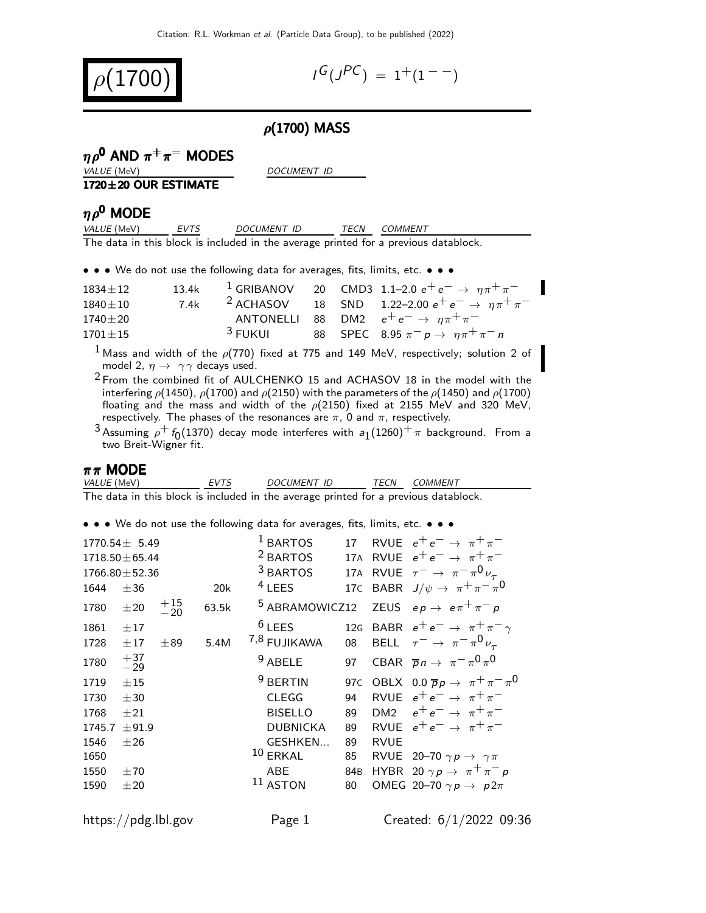

$$
I^G(J^{PC}) = 1^+(1^{--})
$$

### $\rho$ (1700) MASS

## $ηρ<sup>0</sup>$  AND  $π<sup>+</sup>π<sup>-</sup>$  MODES

VALUE (MeV) DOCUMENT ID

#### 1720±20 OUR ESTIMATE

# $ηρ<sup>0</sup>$  MODE

| <i>VALUE</i> (MeV) | EVTS | <i>DOCUMENT ID</i>                                                                  | TECN COMMENT |
|--------------------|------|-------------------------------------------------------------------------------------|--------------|
|                    |      | The data in this block is included in the average printed for a previous datablock. |              |

• • • We do not use the following data for averages, fits, limits, etc. • • •

| $1834 \pm 12$ | 13.4k |                    |  | <sup>1</sup> GRIBANOV 20 CMD3 1.1-2.0 $e^+e^- \rightarrow \eta \pi^+ \pi^-$ |
|---------------|-------|--------------------|--|-----------------------------------------------------------------------------|
| $1840 + 10$   | 7.4k  |                    |  | <sup>2</sup> ACHASOV 18 SND 1.22-2.00 $e^+e^- \rightarrow \eta \pi^+ \pi^-$ |
| $1740\pm20$   |       |                    |  | ANTONELLI 88 DM2 $e^+e^- \rightarrow \eta \pi^+ \pi^-$                      |
| $1701 \pm 15$ |       | <sup>3</sup> FUKUI |  | 88 SPEC 8.95 $\pi^ p \to \eta \pi^+ \pi^- n$                                |

<sup>1</sup> Mass and width of the  $\rho(770)$  fixed at 775 and 149 MeV, respectively; solution 2 of model 2,  $\eta \rightarrow \gamma \gamma$  decays used.

 $2$  From the combined fit of AULCHENKO 15 and ACHASOV 18 in the model with the interfering  $\rho$ (1450),  $\rho$ (1700) and  $\rho$ (2150) with the parameters of the  $\rho$ (1450) and  $\rho$ (1700) floating and the mass and width of the  $\rho(2150)$  fixed at 2155 MeV and 320 MeV, respectively. The phases of the resonances are  $\pi$ , 0 and  $\pi$ , respectively.

 $^3$ Assuming  $\rho^+$   $f_0$ (1370) decay mode interferes with  $a_1$ (1260) $^+\pi$  background. From a two Breit-Wigner fit.

#### $\pi \pi$  MODE

| <i>VALUE</i> (MeV)                                                                  | EVTS | <i>DOCUMENT ID</i> | <i>TECN COMMENT</i> |
|-------------------------------------------------------------------------------------|------|--------------------|---------------------|
| The data in this block is included in the average printed for a previous datablock. |      |                    |                     |

• • • We do not use the following data for averages, fits, limits, etc. • • •

|                                                        | $1770.54 \pm 5.49$<br>$1718.50 \pm 65.44$<br>$1766.80 \pm 52.36$ |                |       | $1$ BARTOS<br><sup>2</sup> BARTOS<br><sup>3</sup> BARTOS                                        | 17 <sup>2</sup><br>17A                        |                                               | RVUE $e^+e^- \rightarrow \pi^+\pi^-$<br>17A RVUE $e^+e^- \rightarrow \pi^+\pi^-$<br>RVUE $\tau^- \rightarrow \pi^- \pi^0 \nu_\tau$                                                                                                                                     |
|--------------------------------------------------------|------------------------------------------------------------------|----------------|-------|-------------------------------------------------------------------------------------------------|-----------------------------------------------|-----------------------------------------------|------------------------------------------------------------------------------------------------------------------------------------------------------------------------------------------------------------------------------------------------------------------------|
| 1644                                                   | ±36                                                              |                | 20k   | $4$ LEES                                                                                        |                                               |                                               | 17C BABR $J/\psi \rightarrow \pi^+ \pi^- \pi^0$                                                                                                                                                                                                                        |
| 1780                                                   | $\pm 20$                                                         | $^{+15}_{-20}$ | 63.5k | <sup>5</sup> ABRAMOWICZ12                                                                       |                                               |                                               | ZEUS $ep \rightarrow e \pi^+ \pi^- p$                                                                                                                                                                                                                                  |
| 1861<br>1728                                           | ±17<br>±17                                                       | ±89            | 5.4M  | $6$ LEES<br>7,8 FUJIKAWA                                                                        | 08                                            |                                               | 12G BABR $e^+e^- \rightarrow \pi^+\pi^-\gamma$<br>BELL $\tau^- \to \pi^- \pi^0 \nu_\tau$                                                                                                                                                                               |
| 1780                                                   | $^{+37}_{-29}$                                                   |                |       | $9$ ABELE                                                                                       | 97                                            |                                               | CBAR $\overline{p}n \to \pi^- \pi^0 \pi^0$                                                                                                                                                                                                                             |
| 1719<br>1730<br>1768<br>1745.7<br>1546<br>1650<br>1550 | $+15$<br>±30<br>±21<br>±91.9<br>±26<br>±70                       |                |       | $9$ BERTIN<br><b>CLEGG</b><br><b>BISELLO</b><br><b>DUBNICKA</b><br>GESHKEN<br>$10$ ERKAL<br>ABE | 94<br>89<br>89<br>89<br>85<br>84 <sub>B</sub> | DM <sub>2</sub><br><b>RVUE</b><br><b>RVUE</b> | 97C OBLX 0.0 $\overline{p}p \rightarrow \pi^+\pi^-\pi^0$<br>RVUE $e^+e^- \rightarrow \pi^+\pi^-$<br>$e^+e^- \rightarrow \pi^+\pi^-$<br>$e^+e^- \rightarrow \pi^+\pi^-$<br>RVUE 20-70 $\gamma p \rightarrow \gamma \pi$<br>HYBR 20 $\gamma p \rightarrow \pi^+ \pi^- p$ |
| 1590                                                   | ±20                                                              |                |       | $11$ ASTON                                                                                      | 80                                            |                                               | OMEG 20-70 $\gamma p \rightarrow p 2\pi$                                                                                                                                                                                                                               |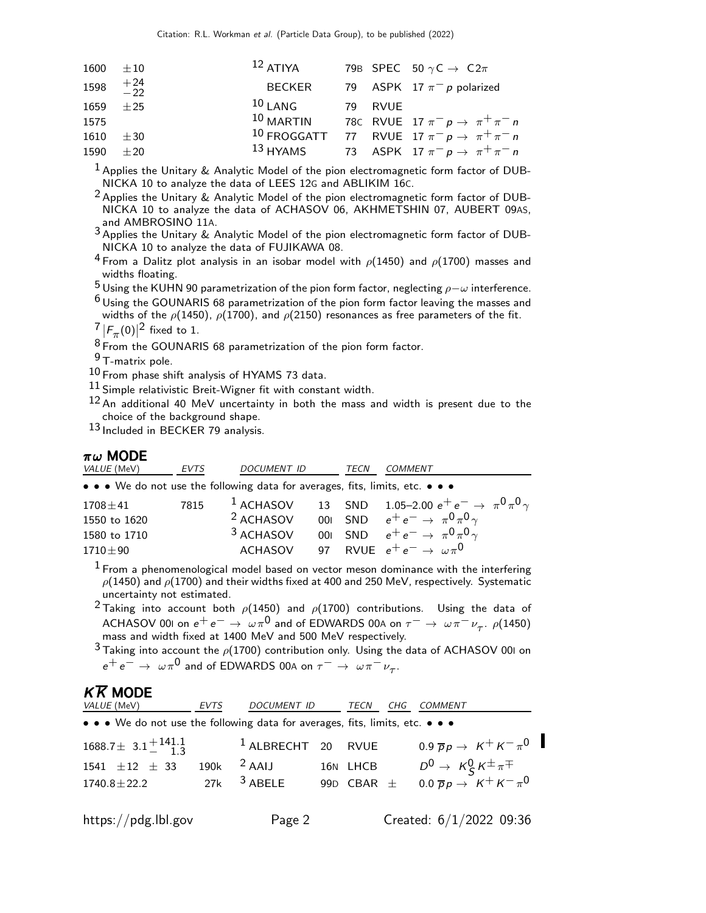|      | $1600 \pm 10$     | $^{12}$ ATIYA |         | 79B SPEC 50 $\gamma$ C $\rightarrow$ C2 $\pi$                         |
|------|-------------------|---------------|---------|-----------------------------------------------------------------------|
|      | 1598 $+24$<br>-22 | BECKER        |         | 79 ASPK 17 $\pi^-$ p polarized                                        |
|      | 1659 $\pm 25$     | $^{10}$ LANG  | 79 RVUE |                                                                       |
| 1575 |                   |               |         | 10 MARTIN 78C RVUE 17 $\pi^- p \rightarrow \pi^+ \pi^- n$             |
|      | $1610 \pm 30$     |               |         | <sup>10</sup> FROGGATT 77 RVUE 17 $\pi^- p \rightarrow \pi^+ \pi^- n$ |
|      | 1590 $\pm 20$     |               |         | 13 HYAMS 73 ASPK 17 $\pi^- p \to \pi^+ \pi^- n$                       |

 $^{\text{1}}$  Applies the Unitary & Analytic Model of the pion electromagnetic form factor of DUB-NICKA 10 to analyze the data of LEES 12G and ABLIKIM 16C.

 $^2$  Applies the Unitary & Analytic Model of the pion electromagnetic form factor of DUB-NICKA 10 to analyze the data of ACHASOV 06, AKHMETSHIN 07, AUBERT 09AS, and AMBROSINO 11A.

 $3$  Applies the Unitary & Analytic Model of the pion electromagnetic form factor of DUB-NICKA 10 to analyze the data of FUJIKAWA 08.

<sup>4</sup> From a Dalitz plot analysis in an isobar model with  $\rho$ (1450) and  $\rho$ (1700) masses and widths floating.

<sup>5</sup> Using the KUHN 90 parametrization of the pion form factor, neglecting  $\rho-\omega$  interference.

 $6$  Using the GOUNARIS 68 parametrization of the pion form factor leaving the masses and widths of the  $\rho$ (1450),  $\rho$ (1700), and  $\rho$ (2150) resonances as free parameters of the fit.

 $\frac{7}{8}$   $|F_{\pi}(0)|^2$  fixed to 1.

8 From the GOUNARIS 68 parametrization of the pion form factor.

9 T-matrix pole.

 $10$  From phase shift analysis of HYAMS 73 data.

 $11$  Simple relativistic Breit-Wigner fit with constant width.

12 An additional 40 MeV uncertainty in both the mass and width is present due to the choice of the background shape.

13 Included in BECKER 79 analysis.

#### $\pi\omega$  MODE

| • • • We do not use the following data for averages, fits, limits, etc. • • •<br><sup>1</sup> ACHASOV 13 SND 1.05-2.00 $e^+e^- \to \pi^0 \pi^0 \gamma$<br>7815<br>$1708 \pm 41$                                                            | <i>VALUE</i> (MeV) | <i>DOCUMENT ID</i><br>EVTS | TECN | <i>COMMENT</i> |  |
|--------------------------------------------------------------------------------------------------------------------------------------------------------------------------------------------------------------------------------------------|--------------------|----------------------------|------|----------------|--|
|                                                                                                                                                                                                                                            |                    |                            |      |                |  |
| 001 SND $e^+e^- \rightarrow \pi^0 \pi^0 \gamma$<br>$2$ ACHASOV<br>1550 to 1620<br><sup>3</sup> ACHASOV<br>001 SND $e^+e^- \to \pi^0 \pi^0 \gamma$<br>1580 to 1710<br>97 RVUE $e^+e^- \rightarrow \omega \pi^0$<br>ACHASOV<br>$1710 \pm 90$ |                    |                            |      |                |  |

 $<sup>1</sup>$  From a phenomenological model based on vector meson dominance with the interfering</sup>  $\rho(1450)$  and  $\rho(1700)$  and their widths fixed at 400 and 250 MeV, respectively. Systematic uncertainty not estimated.

<sup>2</sup> Taking into account both  $\rho$ (1450) and  $\rho$ (1700) contributions. Using the data of ACHASOV 001 on  $e^+e^- \rightarrow \omega \pi^0$  and of EDWARDS 00A on  $\tau^- \rightarrow \omega \pi^- \nu_{\tau}$ .  $\rho$ (1450) mass and width fixed at 1400 MeV and 500 MeV respectively.

 $3$  Taking into account the  $\rho(1700)$  contribution only. Using the data of ACHASOV 00I on  $e^+e^-\rightarrow\ \omega\pi^{0}$  and of EDWARDS 00A on  $\tau^-\rightarrow\ \omega\pi^-\nu_{\tau}$ .

## $K\overline{K}$  MODE

| <i>VALUE</i> (MeV)                                                            | EVTS | DOCUMENT ID                   | TECN<br>CHG    | <i>COMMENT</i>                                 |
|-------------------------------------------------------------------------------|------|-------------------------------|----------------|------------------------------------------------|
| • • • We do not use the following data for averages, fits, limits, etc. • • • |      |                               |                |                                                |
| $1688.7 \pm 3.1 \pm 141.1$                                                    |      | <sup>1</sup> ALBRECHT 20 RVUE |                | 0.9 $\overline{p}p \rightarrow K^+ K^- \pi^0$  |
| 1541 $\pm 12$ $\pm$ 33                                                        |      | 190 $k$ <sup>2</sup> AAIJ     | 16N LHCB       | $D^0 \rightarrow K_S^0 K^{\pm} \pi^{\mp}$      |
| $1740.8 \pm 22.2$                                                             |      | 27 $k$ <sup>3</sup> ABELE     | 99D CBAR $\pm$ | $0.0 \overline{p} p \rightarrow K^+ K^- \pi^0$ |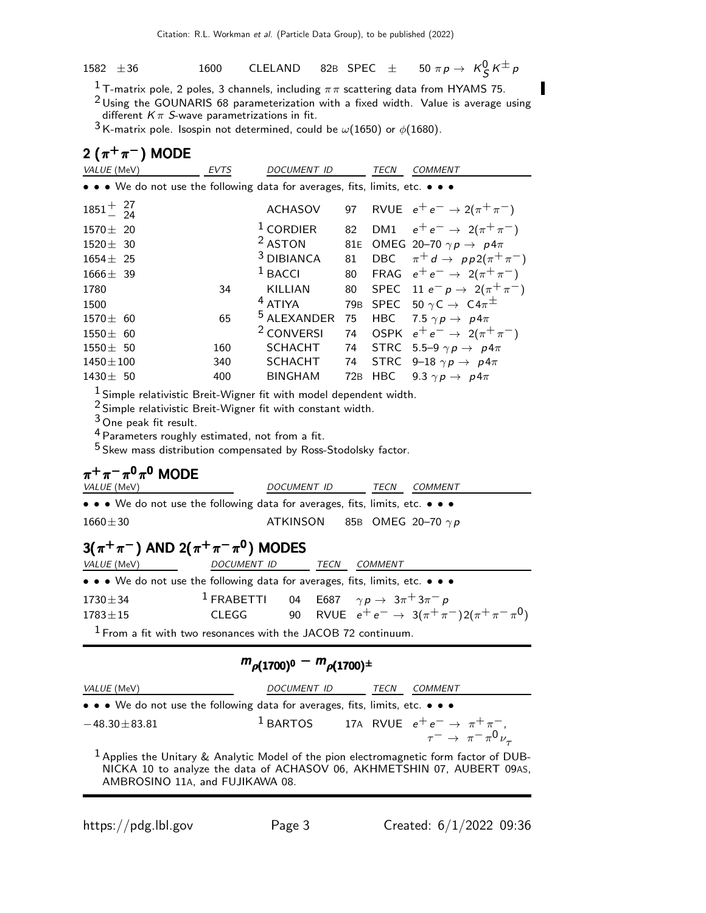1582  $\pm 36$  1600 CLELAND 82B SPEC  $\pm$  50  $\pi p \to K^0_S K^{\pm} p$ 

<sup>1</sup> T-matrix pole, 2 poles, 3 channels, including  $\pi\pi$  scattering data from HYAMS 75.

 $2$  Using the GOUNARIS 68 parameterization with a fixed width. Value is average using different  $K\pi$  S-wave parametrizations in fit.

 $3$  K-matrix pole. Isospin not determined, could be  $\omega(1650)$  or  $\phi(1680)$ .

## 2  $(\pi^+\pi^-)$  MODE

| VALUE (MeV)                                                                                                                                                                                                                                                                                                  | <b>EVTS</b> | <b>DOCUMENT ID</b>     |                 | <b>TECN</b> | <b>COMMENT</b>                                  |  |
|--------------------------------------------------------------------------------------------------------------------------------------------------------------------------------------------------------------------------------------------------------------------------------------------------------------|-------------|------------------------|-----------------|-------------|-------------------------------------------------|--|
| $\bullet \bullet \bullet$ We do not use the following data for averages, fits, limits, etc. $\bullet \bullet \bullet$                                                                                                                                                                                        |             |                        |                 |             |                                                 |  |
| $1851^{+}_{-}$ $^{27}_{24}$                                                                                                                                                                                                                                                                                  |             | <b>ACHASOV</b>         | 97              |             | RVUE $e^+e^- \rightarrow 2(\pi^+\pi^-)$         |  |
| $1570 \pm 20$                                                                                                                                                                                                                                                                                                |             | $1$ CORDIER            | 82              |             | DM1 $e^+e^- \to 2(\pi^+\pi^-)$                  |  |
| $1520 \pm 30$                                                                                                                                                                                                                                                                                                |             | <sup>2</sup> ASTON     | 81E             |             | OMEG 20-70 $\gamma p \rightarrow p 4\pi$        |  |
| $1654 \pm 25$                                                                                                                                                                                                                                                                                                |             | <sup>3</sup> DIBIANCA  | 81              |             | DBC $\pi^+ d \rightarrow pp2(\pi^+\pi^-)$       |  |
| $1666 \pm 39$                                                                                                                                                                                                                                                                                                |             | $1$ BACCI              | 80              |             | FRAG $e^+e^- \rightarrow 2(\pi^+\pi^-)$         |  |
| 1780                                                                                                                                                                                                                                                                                                         | 34          | KILLIAN                | 80              |             | SPEC 11 $e^- p \to 2(\pi^+ \pi^-)$              |  |
| 1500                                                                                                                                                                                                                                                                                                         |             | <sup>4</sup> ATIYA     | 79 <sub>B</sub> |             | SPEC 50 $\gamma$ C $\rightarrow$ C4 $\pi^{\pm}$ |  |
| $1570 \pm 60$                                                                                                                                                                                                                                                                                                | 65          | <sup>5</sup> ALEXANDER | 75              |             | HBC 7.5 $\gamma p \rightarrow p 4\pi$           |  |
| $1550 \pm 60$                                                                                                                                                                                                                                                                                                |             | <sup>2</sup> CONVERSI  | 74              |             | OSPK $e^+e^- \rightarrow 2(\pi^+\pi^-)$         |  |
| $1550 \pm 50$                                                                                                                                                                                                                                                                                                | 160         | <b>SCHACHT</b>         | 74              |             | STRC 5.5-9 $\gamma p \rightarrow p 4\pi$        |  |
| $1450 \pm 100$                                                                                                                                                                                                                                                                                               | 340         | SCHACHT                | 74              |             | STRC 9-18 $\gamma p \rightarrow p 4\pi$         |  |
| $1430 \pm 50$                                                                                                                                                                                                                                                                                                | 400         | <b>BINGHAM</b>         | 72B             | HBC         | 9.3 $\gamma p \rightarrow p 4\pi$               |  |
| $1$ Simple relativistic Breit-Wigner fit with model dependent width.<br>$2$ Simple relativistic Breit-Wigner fit with constant width.<br>$3$ One peak fit result.<br><sup>4</sup> Parameters roughly estimated, not from a fit.<br><sup>5</sup> Skew mass distribution compensated by Ross-Stodolsky factor. |             |                        |                 |             |                                                 |  |
| $\pi^{+}\pi^{-}\pi^{0}\pi^{0}$ MODE                                                                                                                                                                                                                                                                          |             |                        |                 |             |                                                 |  |
| VALUE (MeV)                                                                                                                                                                                                                                                                                                  |             | DOCUMENT ID            |                 | <b>TECN</b> | COMMENT                                         |  |
| $\bullet$ $\bullet$ M/s do not use the following data for average fits limits ats                                                                                                                                                                                                                            |             |                        |                 |             |                                                 |  |

• • • We do not use the following data for averages, fits, limits, etc. • • •  $1660 \pm 30$  ATKINSON 85B OMEG 20-70  $\gamma p$ 

# 3( $\pi^+\pi^-$ ) AND 2( $\pi^+\pi^-\pi^0$ ) MODES

| <i>VALUE</i> (MeV)                                                            | DOCUMENT ID                                                          |  | TECN | <i>COMMENT</i> |                                                              |  |
|-------------------------------------------------------------------------------|----------------------------------------------------------------------|--|------|----------------|--------------------------------------------------------------|--|
| • • • We do not use the following data for averages, fits, limits, etc. • • • |                                                                      |  |      |                |                                                              |  |
| $1730 \pm 34$                                                                 | <sup>1</sup> FRABETTI 04 E687 $\gamma p \rightarrow 3\pi + 3\pi - p$ |  |      |                |                                                              |  |
| $1783 \pm 15$                                                                 | CLEGG                                                                |  |      |                | 90 RVUE $e^+e^- \rightarrow 3(\pi^+\pi^-)2(\pi^+\pi^-\pi^0)$ |  |
| $1$ From a fit with two resonances with the JACOB 72 continuum.               |                                                                      |  |      |                |                                                              |  |

# $m_{\rho(1700)^0} - m_{\rho(1700)^{\pm}}$

| <i>VALUE</i> (MeV)                                                                                | <i>DOCUMENT ID</i> | TECN | <i>COMMENT</i>                                                                                             |
|---------------------------------------------------------------------------------------------------|--------------------|------|------------------------------------------------------------------------------------------------------------|
| • • • We do not use the following data for averages, fits, limits, etc. • • •                     |                    |      |                                                                                                            |
| $-48.30 \pm 83.81$                                                                                |                    |      | <sup>1</sup> BARTOS 17A RVUE $e^+e^- \rightarrow \pi^+\pi^-,$<br>$\tau^- \rightarrow \pi^-\pi^0\nu_{\tau}$ |
|                                                                                                   |                    |      |                                                                                                            |
| <sup>1</sup> Applies the Unitary & Analytic Model of the pion electromagnetic form factor of DUB- |                    |      |                                                                                                            |

NICKA 10 to analyze the data of ACHASOV 06, AKHMETSHIN 07, AUBERT 09AS, AMBROSINO 11A, and FUJIKAWA 08.

I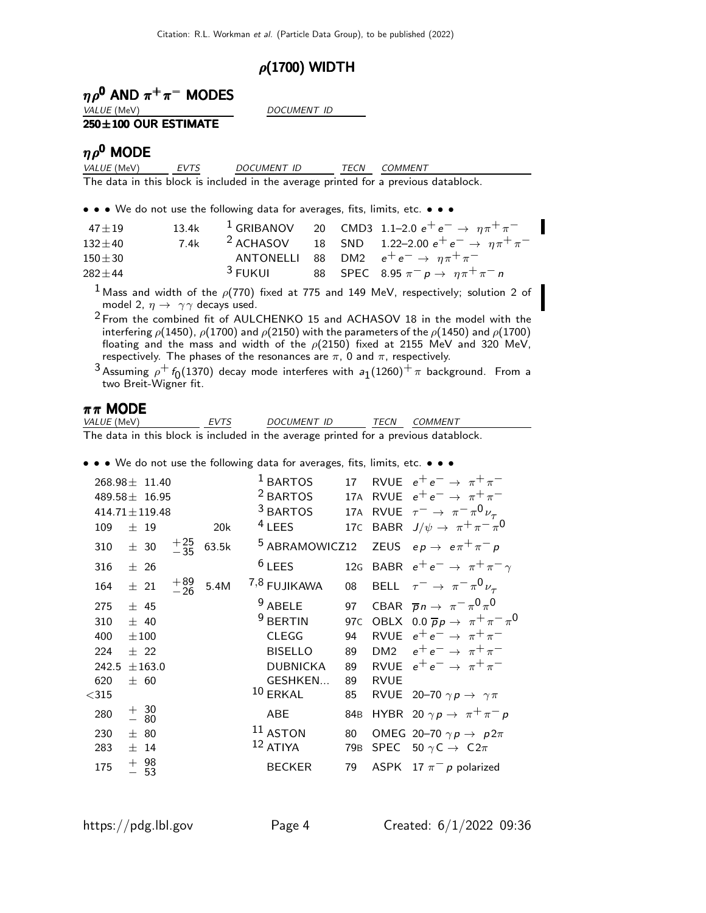### $\rho$ (1700) WIDTH

|  | $\eta \rho^0$ AND $\pi^+ \pi^-$ MODES |
|--|---------------------------------------|
|  |                                       |

VALUE (MeV) DOCUMENT ID

#### 250±100 OUR ESTIMATE

### $\eta \rho^0$  MODE

VALUE (MeV) EVTS DOCUMENT ID TECN COMMENT The data in this block is included in the average printed for a previous datablock.

• • • We do not use the following data for averages, fits, limits, etc. • • •

| $47 + 19$  | 13.4k |                    |  | <sup>1</sup> GRIBANOV 20 CMD3 1.1–2.0 $e^+e^- \rightarrow \eta \pi^+ \pi^-$ |
|------------|-------|--------------------|--|-----------------------------------------------------------------------------|
| $132 + 40$ | 7.4k  |                    |  | <sup>2</sup> ACHASOV 18 SND 1.22-2.00 $e^+e^- \rightarrow \eta \pi^+ \pi^-$ |
| $150\pm30$ |       |                    |  | ANTONELLI 88 DM2 $e^+e^- \rightarrow \eta \pi^+ \pi^-$                      |
| $282 + 44$ |       | <sup>3</sup> FUKUL |  | 88 SPEC 8.95 $\pi^- p \to \eta \pi^+ \pi^- n$                               |

<sup>1</sup> Mass and width of the  $\rho(770)$  fixed at 775 and 149 MeV, respectively; solution 2 of model 2,  $\eta \rightarrow \gamma \gamma$  decays used.

<sup>2</sup> From the combined fit of AULCHENKO 15 and ACHASOV 18 in the model with the interfering  $\rho$ (1450),  $\rho$ (1700) and  $\rho$ (2150) with the parameters of the  $\rho$ (1450) and  $\rho$ (1700) floating and the mass and width of the  $\rho$ (2150) fixed at 2155 MeV and 320 MeV, respectively. The phases of the resonances are  $\pi$ , 0 and  $\pi$ , respectively.

 $^{3}$ Assuming  $\rho^{+}$   $f_{0}$ (1370) decay mode interferes with  $a_{1}(1260)^{+}$   $\pi$  background. From a two Breit-Wigner fit.

# $\pi \pi$  **MODE**<br>*VALUE* (MeV)

EVTS DOCUMENT ID TECN COMMENT The data in this block is included in the average printed for a previous datablock.

• • • We do not use the following data for averages, fits, limits, etc. • • •

|       | $268.98 \pm 11.40$<br>$489.58 \pm 16.95$        |                |       | <sup>1</sup> BARTOS<br><sup>2</sup> BARTOS<br><sup>3</sup> BARTOS | 17              |                 | RVUE $e^+e^- \rightarrow \pi^+\pi^-$<br>17A RVUE $e^+e^- \rightarrow \pi^+\pi^-$                |
|-------|-------------------------------------------------|----------------|-------|-------------------------------------------------------------------|-----------------|-----------------|-------------------------------------------------------------------------------------------------|
| 109   | $414.71 \pm 119.48$<br>$±$ 19                   |                | 20k   | $4$ LEES                                                          | 17 <sub>C</sub> |                 | 17A RVUE $\tau^- \rightarrow \pi^- \pi^0 \nu_\tau$<br>BABR $J/\psi \rightarrow \pi^+\pi^-\pi^0$ |
|       |                                                 |                |       | <sup>5</sup> ABRAMOWICZ12                                         |                 |                 |                                                                                                 |
| 310   | $\pm$ 30                                        | $^{+25}_{-35}$ | 63.5k |                                                                   |                 |                 | ZEUS $ep \rightarrow e \pi^+ \pi^- p$                                                           |
| 316   | ± 26                                            |                |       | $6$ LEES                                                          |                 |                 | 12G BABR $e^+e^- \rightarrow \pi^+\pi^-\gamma$                                                  |
| 164   | $\pm$ 21                                        | $+89$<br>$-26$ | 5.4M  | 7,8 FUJIKAWA                                                      | 08              |                 | BELL $\tau^- \to \pi^- \pi^0 \nu_\tau$                                                          |
| 275   | ± 45                                            |                |       | $9$ ABELE                                                         | 97              |                 | CBAR $\overline{p}n \to \pi^- \pi^0 \pi^0$                                                      |
| 310   | ± 40                                            |                |       | <sup>9</sup> BERTIN                                               | 97 <sub>C</sub> |                 | OBLX $0.0 \overline{p} p \rightarrow \pi^+ \pi^- \pi^0$                                         |
| 400   | $\pm 100$                                       |                |       | <b>CLEGG</b>                                                      | 94              | <b>RVUE</b>     | $e^+e^- \rightarrow \pi^+\pi^-$                                                                 |
| 224   | $±$ 22                                          |                |       | <b>BISELLO</b>                                                    | 89              | DM <sub>2</sub> | $e^+e^- \rightarrow \pi^+\pi^-$                                                                 |
| 242.5 | $\pm 163.0$                                     |                |       | <b>DUBNICKA</b>                                                   | 89              |                 | RVUE $e^+e^- \rightarrow \pi^+\pi^-$                                                            |
| 620   | ± 60                                            |                |       | GESHKEN                                                           | 89              | <b>RVUE</b>     |                                                                                                 |
| $315$ |                                                 |                |       | $10$ ERKAL                                                        | 85              |                 | RVUE 20-70 $\gamma p \rightarrow \gamma \pi$                                                    |
| 280   | $\begin{array}{c} + & 30 \\ - & 80 \end{array}$ |                |       | <b>ABE</b>                                                        | 84 <sub>B</sub> |                 | HYBR 20 $\gamma p \rightarrow \pi^+ \pi^- p$                                                    |
| 230   | ± 80                                            |                |       | $11$ ASTON                                                        | 80              |                 | OMEG 20-70 $\gamma p \rightarrow p 2\pi$                                                        |
| 283   | $±$ 14                                          |                |       | 12 ATIYA                                                          | 79 <sub>B</sub> |                 | SPEC 50 $\gamma$ C $\rightarrow$ C2 $\pi$                                                       |
| 175   | $+$ 98<br>53                                    |                |       | <b>BECKER</b>                                                     | 79              |                 | ASPK 17 $\pi^-$ p polarized                                                                     |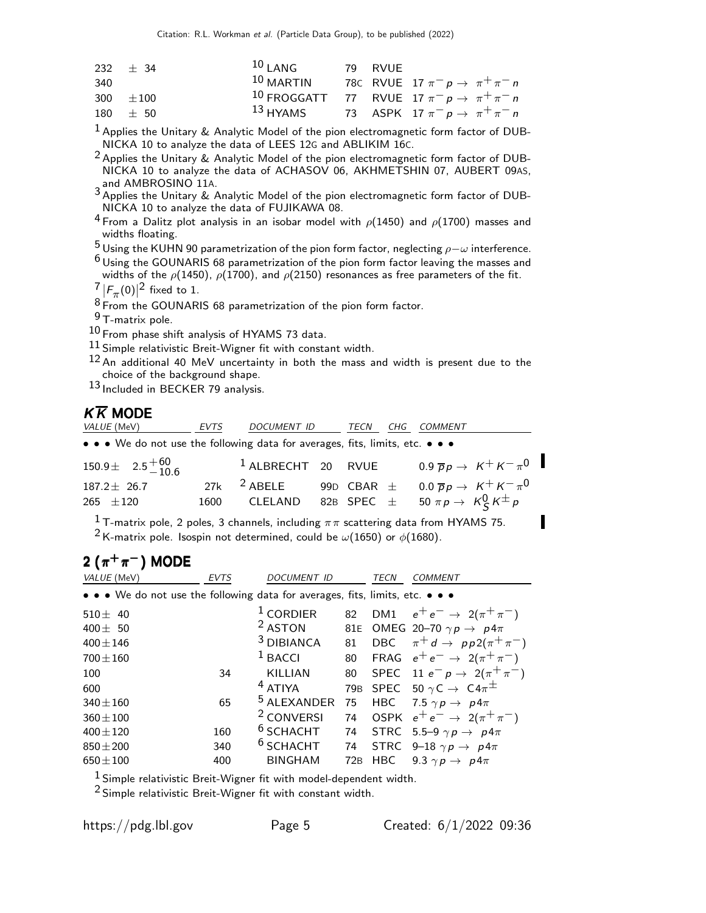|     | 232 $\pm$ 34  | $101$ ANG   | 79 RVUF |                                                                       |
|-----|---------------|-------------|---------|-----------------------------------------------------------------------|
| 340 |               | $10$ MARTIN |         | 780 RVUE 17 $\pi^- p \to \pi^+ \pi^- n$                               |
|     | 300 $\pm 100$ |             |         | <sup>10</sup> FROGGATT 77 RVUE 17 $\pi^- p \rightarrow \pi^+ \pi^- n$ |
|     | $180 \pm 50$  |             |         | 13 HYAMS 73 ASPK 17 $\pi^- p \to \pi^+ \pi^- n$                       |

1 Applies the Unitary & Analytic Model of the pion electromagnetic form factor of DUB-NICKA 10 to analyze the data of LEES 12G and ABLIKIM 16C.

 $2$  Applies the Unitary & Analytic Model of the pion electromagnetic form factor of DUB-NICKA 10 to analyze the data of ACHASOV 06, AKHMETSHIN 07, AUBERT 09AS,

and AMBROSINO 11A.<br><sup>3</sup> Applies the Unitary & Analytic Model of the pion electromagnetic form factor of DUB-NICKA 10 to analyze the data of FUJIKAWA 08.

<sup>4</sup> From a Dalitz plot analysis in an isobar model with  $\rho$ (1450) and  $\rho$ (1700) masses and widths floating.

 $5$  Using the KUHN 90 parametrization of the pion form factor, neglecting  $\rho-\omega$  interference.

 $^6$  Using the GOUNARIS 68 parametrization of the pion form factor leaving the masses and widths of the  $\rho(1450)$ ,  $\rho(1700)$ , and  $\rho(2150)$  resonances as free parameters of the fit.

 $\frac{7}{8}$   $|F_{\pi}(0)|^2$  fixed to 1.

8 From the GOUNARIS 68 parametrization of the pion form factor.

9 T-matrix pole.

10 From phase shift analysis of HYAMS 73 data.

11 Simple relativistic Breit-Wigner fit with constant width.

12 An additional 40 MeV uncertainty in both the mass and width is present due to the choice of the background shape.

13 Included in BECKER 79 analysis.

## $K\overline{K}$  MODE

| <i>VALUE</i> (MeV)                                                            | EVTS | DOCUMENT ID            |  | TECN | CHG | <i>COMMENT</i>                                                            |  |
|-------------------------------------------------------------------------------|------|------------------------|--|------|-----|---------------------------------------------------------------------------|--|
| • • • We do not use the following data for averages, fits, limits, etc. • • • |      |                        |  |      |     |                                                                           |  |
| $150.9\pm$ $2.5^{+60}_{-10.6}$                                                |      |                        |  |      |     | <sup>1</sup> ALBRECHT 20 RVUE 0.9 $\overline{p}p \rightarrow K^+K^-\pi^0$ |  |
| $187.2 \pm 26.7$                                                              |      | 27k <sup>2</sup> ABELE |  |      |     | 99D CBAR $\pm$ 0.0 $\overline{p}p \rightarrow K^+K^-\pi^0$                |  |
| $265 \pm 120$                                                                 |      | 1600 CLELAND           |  |      |     | 82B SPEC $\pm$ 50 $\pi p \rightarrow K_S^0 K^{\pm} p$                     |  |

<sup>1</sup> T-matrix pole, 2 poles, 3 channels, including  $\pi\pi$  scattering data from HYAMS 75. <sup>2</sup> K-matrix pole. Isospin not determined, could be  $\omega(1650)$  or  $\phi(1680)$ .

# 2  $(\pi^+\pi^-)$  MODE

| VALUE (MeV)                                                                   | <b>EVTS</b> | <b>DOCUMENT ID</b>     |                 | TECN       | COMMENT                                         |
|-------------------------------------------------------------------------------|-------------|------------------------|-----------------|------------|-------------------------------------------------|
| • • • We do not use the following data for averages, fits, limits, etc. • • • |             |                        |                 |            |                                                 |
| 510 $\pm$ 40                                                                  |             | $1$ CORDIER            | 82              |            | DM1 $e^+e^- \to 2(\pi^+\pi^-)$                  |
| 400 $\pm$ 50                                                                  |             | <sup>2</sup> ASTON     |                 |            | 81E OMEG 20-70 $\gamma p \rightarrow p 4\pi$    |
| $400 \pm 146$                                                                 |             | <sup>3</sup> DIBIANCA  | 81              |            | DBC $\pi^+ d \rightarrow pp2(\pi^+\pi^-)$       |
| $700 \pm 160$                                                                 |             | $1$ BACCI              | 80              |            | FRAG $e^+e^- \rightarrow 2(\pi^+\pi^-)$         |
| 100                                                                           | 34          | <b>KILLIAN</b>         | 80              |            | SPEC 11 $e^- p \to 2(\pi^+ \pi^-)$              |
| 600                                                                           |             | $4$ ATIYA              | 79 <sub>B</sub> |            | SPEC 50 $\gamma$ C $\rightarrow$ C4 $\pi^{\pm}$ |
| $340 \pm 160$                                                                 | 65          | <sup>5</sup> ALEXANDER | 75              | HBC        | 7.5 $\gamma p \rightarrow p 4\pi$               |
| $360 \pm 100$                                                                 |             | <sup>2</sup> CONVERSI  | 74              |            | OSPK $e^+e^- \rightarrow 2(\pi^+\pi^-)$         |
| $400 \pm 120$                                                                 | 160         | $6$ SCHACHT            | 74              |            | STRC 5.5-9 $\gamma p \rightarrow p 4\pi$        |
| $850 + 200$                                                                   | 340         | <sup>6</sup> SCHACHT   | 74              |            | STRC 9-18 $\gamma p \rightarrow p 4\pi$         |
| $650 \pm 100$                                                                 | 400         | <b>BINGHAM</b>         | 72B             | <b>HBC</b> | 9.3 $\gamma p \rightarrow p 4\pi$               |
|                                                                               |             |                        |                 |            |                                                 |

 $1$  Simple relativistic Breit-Wigner fit with model-dependent width.

2 Simple relativistic Breit-Wigner fit with constant width.

Π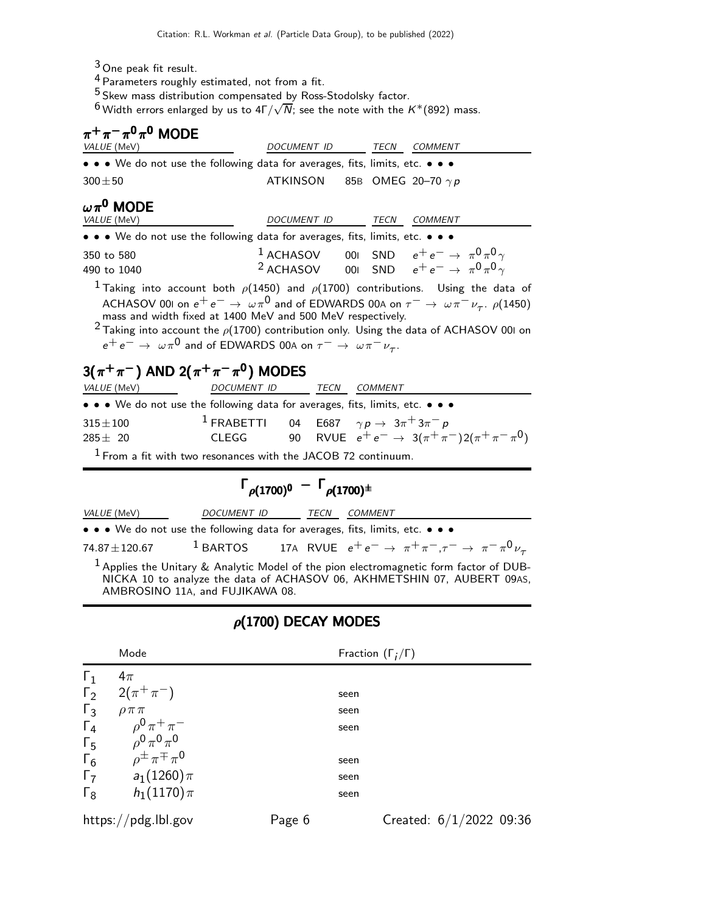- 3 One peak fit result.
- $^4$  Parameters roughly estimated, not from a fit.
- <sup>5</sup> Skew mass distribution compensated by Ross-Stodolsky factor.

 $^6$  Width errors enlarged by us to  $4\Gamma/\sqrt{N}$ ; see the note with the  $K^*(892)$  mass.

| $\pi^+\pi^-\pi^0\pi^0$ MODE<br>VALUE (MeV)                                                                                                                                                                                                                                                                                                                                                                                                                                                                                                                                                                                                                                                   |                                                                      | DOCUMENT ID                        |  |  | TECN COMMENT                                               |
|----------------------------------------------------------------------------------------------------------------------------------------------------------------------------------------------------------------------------------------------------------------------------------------------------------------------------------------------------------------------------------------------------------------------------------------------------------------------------------------------------------------------------------------------------------------------------------------------------------------------------------------------------------------------------------------------|----------------------------------------------------------------------|------------------------------------|--|--|------------------------------------------------------------|
| • • • We do not use the following data for averages, fits, limits, etc. • • •                                                                                                                                                                                                                                                                                                                                                                                                                                                                                                                                                                                                                |                                                                      |                                    |  |  |                                                            |
| $300\pm50$                                                                                                                                                                                                                                                                                                                                                                                                                                                                                                                                                                                                                                                                                   |                                                                      | ATKINSON 85B OMEG 20-70 $\gamma p$ |  |  |                                                            |
| $\omega\pi^{\mathbf{0}}$ MODE<br>VALUE (MeV)                                                                                                                                                                                                                                                                                                                                                                                                                                                                                                                                                                                                                                                 |                                                                      | DOCUMENT ID TECN                   |  |  | <b>COMMENT</b>                                             |
| • • • We do not use the following data for averages, fits, limits, etc. • • •                                                                                                                                                                                                                                                                                                                                                                                                                                                                                                                                                                                                                |                                                                      |                                    |  |  |                                                            |
| <sup>1</sup> ACHASOV 001 SND $e^+e^- \rightarrow \pi^0 \pi^0 \gamma$<br>350 to 580<br><sup>2</sup> ACHASOV 001 SND $e^+e^- \rightarrow \pi^0 \pi^0 \gamma$<br>490 to 1040<br><sup>1</sup> Taking into account both $\rho$ (1450) and $\rho$ (1700) contributions. Using the data of<br>ACHASOV 001 on $e^+e^- \to \omega \pi^0$ and of EDWARDS 00A on $\tau^- \to \omega \pi^- \nu_{\tau}$ . $\rho$ (1450)<br>mass and width fixed at 1400 MeV and 500 MeV respectively.<br><sup>2</sup> Taking into account the $\rho$ (1700) contribution only. Using the data of ACHASOV 001 on<br>$e^+e^- \rightarrow \omega \pi^0$ and of EDWARDS 00A on $\tau^- \rightarrow \omega \pi^- \nu_{\tau}$ . |                                                                      |                                    |  |  |                                                            |
| 3( $\pi^+\pi^-$ ) AND 2( $\pi^+\pi^-\pi^0$ ) MODES                                                                                                                                                                                                                                                                                                                                                                                                                                                                                                                                                                                                                                           |                                                                      |                                    |  |  |                                                            |
| VALUE (MeV) DOCUMENT ID TECN COMMENT                                                                                                                                                                                                                                                                                                                                                                                                                                                                                                                                                                                                                                                         |                                                                      |                                    |  |  |                                                            |
| • • • We do not use the following data for averages, fits, limits, etc. • • •                                                                                                                                                                                                                                                                                                                                                                                                                                                                                                                                                                                                                |                                                                      |                                    |  |  |                                                            |
| $315\!\pm\!100$<br>$285 \pm 20$                                                                                                                                                                                                                                                                                                                                                                                                                                                                                                                                                                                                                                                              | <sup>1</sup> FRABETTI 04 E687 $\gamma p \rightarrow 3\pi^+ 3\pi^- p$ |                                    |  |  | CLEGG 90 RVUE $e^+e^- \to 3(\pi^+\pi^-)2(\pi^+\pi^-\pi^0)$ |

 $1$  From a fit with two resonances with the JACOB 72 continuum.

# $\Gamma_{\rho(1700)^0} - \Gamma_{\rho(1700)^{\pm}}$

| <i>VALUE</i> (MeV) | DOCUMENT ID | <i>TECN COMMENT</i>                                                                                   |
|--------------------|-------------|-------------------------------------------------------------------------------------------------------|
|                    |             | • • • We do not use the following data for averages, fits, limits, etc. • • •                         |
| $74.87 \pm 120.67$ |             | <sup>1</sup> BARTOS 17A RVUE $e^+e^- \rightarrow \pi^+\pi^-, \tau^- \rightarrow \pi^-\pi^0\nu_{\tau}$ |

 $^1$  Applies the Unitary & Analytic Model of the pion electromagnetic form factor of DUB-NICKA 10 to analyze the data of ACHASOV 06, AKHMETSHIN 07, AUBERT 09AS, AMBROSINO 11A, and FUJIKAWA 08.

## $\rho(1700)$  DECAY MODES

|            | Mode                                    |        | Fraction $(\Gamma_i/\Gamma)$ |
|------------|-----------------------------------------|--------|------------------------------|
| $\Gamma_1$ | $4\pi$                                  |        |                              |
|            | $\Gamma_2$ 2( $\pi^+\pi^-$ )            |        | seen                         |
| $\Gamma_3$ | $\rho \pi \pi$                          |        | seen                         |
| $\Gamma_4$ | $\rho^{0} \pi^{+} \pi^{-}$              |        | seen                         |
| $\Gamma_5$ | $\rho^0 \pi^0 \pi^0$                    |        |                              |
| $\Gamma_6$ | $\rho^{\pm} \pi^{\mp} \pi^{\mathsf{0}}$ |        | seen                         |
| $\Gamma_7$ | $a_1(1260)\pi$                          |        | seen                         |
| $\Gamma_8$ | $h_1(1170)\pi$                          |        | seen                         |
|            | https://pdg.lbl.gov                     | Page 6 | Created: $6/1/2022$ 09:36    |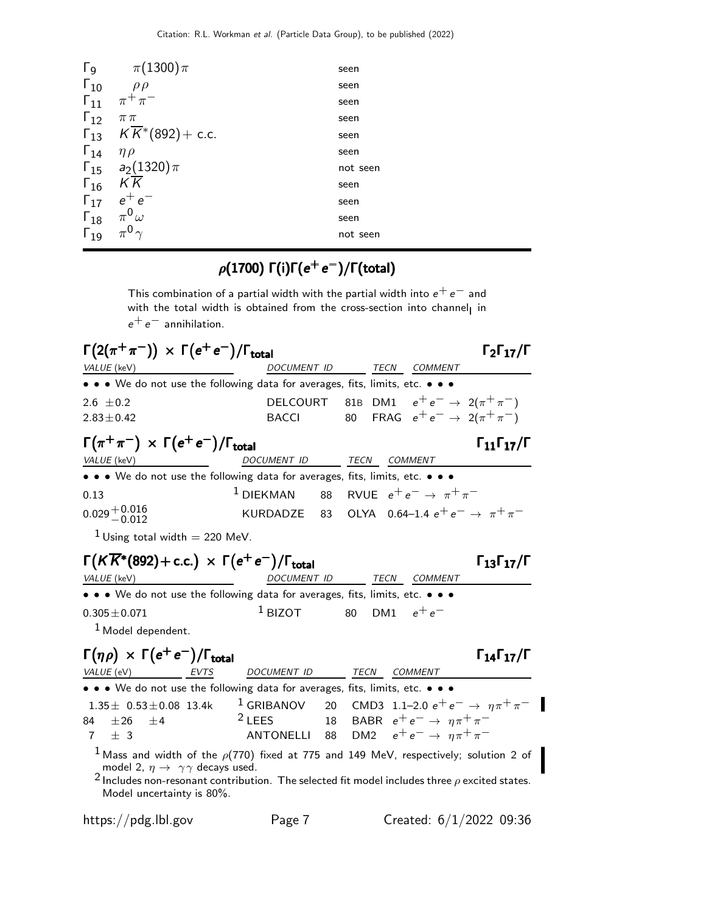| $\Gamma_{9}$  | $\pi(1300)\pi$                               | seen     |
|---------------|----------------------------------------------|----------|
| $\Gamma_{10}$ | $\rho \rho$                                  | seen     |
| $\Gamma_{11}$ | $\pi^+\pi^-$                                 | seen     |
| $\Gamma_{12}$ | $\pi\pi$                                     | seen     |
|               | $\Gamma_{13}$ $K\overline{K}$ * (892) + c.c. | seen     |
| $\Gamma_{14}$ | $\eta \rho$                                  | seen     |
|               | $\Gamma_{15}$ $a_2(1320)\pi$                 | not seen |
| $\Gamma_{16}$ | K K                                          | seen     |
| $\Gamma_{17}$ | $e^+e^-$                                     | seen     |
| $\Gamma_{18}$ | $\pi^0\omega$                                | seen     |
| $\Gamma_{19}$ |                                              | not seen |
|               |                                              |          |

## $\rho(1700)$  Γ(i)Γ( $e^+e^-)$ /Γ(total)

This combination of a partial width with the partial width into  $e^+ \, e^-$  and with the total width is obtained from the cross-section into channel<sub>l</sub> in  $e^+e^-$  annihilation.

| $\Gamma(2(\pi^+\pi^-)) \times \Gamma(e^+e^-)/\Gamma_{\rm total}$                | $\Gamma_2\Gamma_{17}/\Gamma$                                                                                                   |
|---------------------------------------------------------------------------------|--------------------------------------------------------------------------------------------------------------------------------|
| VALUE (keV)                                                                     | DOCUMENT ID<br>TECN COMMENT                                                                                                    |
|                                                                                 | • • We do not use the following data for averages, fits, limits, etc. • •                                                      |
| 2.6 $\pm$ 0.2<br>$2.83 \pm 0.42$                                                | 81B DM1 $e^+e^- \rightarrow 2(\pi^+\pi^-)$<br><b>DELCOURT</b><br>FRAG $e^+e^- \rightarrow 2(\pi^+\pi^-)$<br>80<br><b>BACCI</b> |
| $\Gamma(\pi^+\pi^-) \times \Gamma(e^+e^-)/\Gamma_{\text{total}}$                | $\Gamma_{11}\Gamma_{17}/\Gamma$                                                                                                |
| <i>VALUE</i> (keV)                                                              | DOCUMENT ID TECN COMMENT                                                                                                       |
|                                                                                 | • • • We do not use the following data for averages, fits, limits, etc. • • •                                                  |
| 0.13                                                                            | $1$ DIEKMAN 88 RVUE $e^+e^- \rightarrow \pi^+\pi^-$                                                                            |
| $0.029 + 0.016$<br>$- 0.012$                                                    | KURDADZE 83 OLYA 0.64-1.4 $e^+e^- \rightarrow \pi^+\pi^-$                                                                      |
| <sup>1</sup> Using total width = 220 MeV.                                       |                                                                                                                                |
| $\Gamma(K\overline{K}^*(892)+$ c.c.) $\times \Gamma(e^+e^-)/\Gamma_{\rm total}$ | $\Gamma_{13}\Gamma_{17}/\Gamma$                                                                                                |
| VALUE (keV)                                                                     | DOCUMENT ID<br>TECN<br><b>COMMENT</b>                                                                                          |
|                                                                                 | • • • We do not use the following data for averages, fits, limits, etc. • • •                                                  |
| $0.305 \pm 0.071$                                                               | $1$ BIZOT<br>DM1 $e^+e^-$<br>80                                                                                                |
| <sup>1</sup> Model dependent.                                                   |                                                                                                                                |
| $\Gamma(\eta \rho) \times \Gamma(e^+e^-)/\Gamma_{\text{total}}$                 | $\Gamma_{14}\Gamma_{17}/\Gamma$                                                                                                |
| VALUE (eV) EVTS                                                                 | DOCUMENT ID<br>TECN COMMENT                                                                                                    |
|                                                                                 | • • • We do not use the following data for averages, fits, limits, etc. • • •                                                  |
| $1.35 \pm 0.53 \pm 0.08$ 13.4k                                                  | $1$ GRIBANOV<br>20 CMD3 1.1–2.0 $e^+e^- \rightarrow \eta \pi^+ \pi^-$                                                          |
| $\pm 26$ $\pm 4$<br>84 –                                                        | $2$ LEES<br>18 BABR $e^+e^- \rightarrow \eta \pi^+ \pi^-$                                                                      |
| $\pm$ 3<br>7                                                                    | DM2 $e^+e^- \rightarrow \eta \pi^+ \pi^-$<br>ANTONELLI 88                                                                      |
|                                                                                 | $^1$ Mass and width of the $\rho(770)$ fixed at 775 and 149 MeV, respectively; solution 2 of                                   |
| model 2, $\eta \rightarrow \gamma \gamma$ decays used.                          |                                                                                                                                |
| Model uncertainty is 80%.                                                       | <sup>2</sup> Includes non-resonant contribution. The selected fit model includes three $\rho$ excited states.                  |
|                                                                                 |                                                                                                                                |

 $\blacksquare$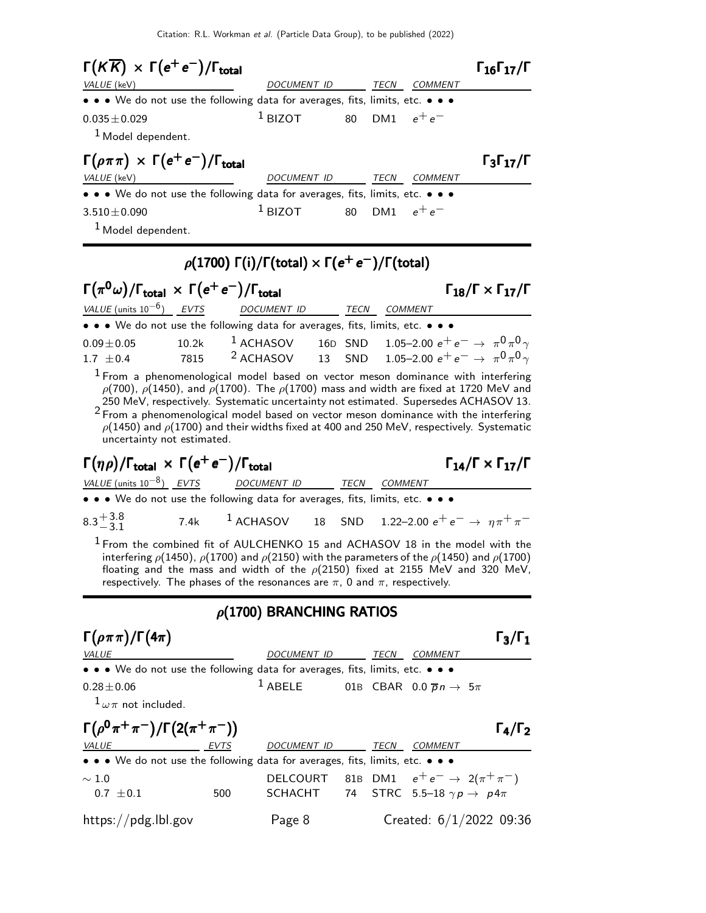Citation: R.L. Workman et al. (Particle Data Group), to be published (2022)

| $\Gamma(K\overline{K}) \times \Gamma(e^+e^-)/\Gamma_{\text{total}}$           |                    |      |                 | $\Gamma_{16}\Gamma_{17}/\Gamma$ |
|-------------------------------------------------------------------------------|--------------------|------|-----------------|---------------------------------|
| VALUE (keV)                                                                   | <b>DOCUMENT ID</b> | TECN | <i>COMMENT</i>  |                                 |
| • • • We do not use the following data for averages, fits, limits, etc. • • • |                    |      |                 |                                 |
| $0.035 \pm 0.029$<br><sup>1</sup> Model dependent.                            | $1$ BIZOT          |      | 80 DM1 $e^+e^-$ |                                 |
| $\Gamma(\rho \pi \pi) \times \Gamma(e^+ e^-)/\Gamma_{\text{total}}$           |                    |      |                 | $\Gamma_3\Gamma_{17}/\Gamma$    |
| VALUE (keV)                                                                   | DOCUMENT ID        | TECN | COMMENT         |                                 |
| • • • We do not use the following data for averages, fits, limits, etc. • • • |                    |      |                 |                                 |
| $3.510 \pm 0.090$<br><sup>1</sup> Model dependent.                            | $1$ BIZOT          |      | 80 DM1 $e^+e^-$ |                                 |

## $\rho(1700)$   $\Gamma(i)/\Gamma(\text{total}) \times \Gamma(e^+e^-)/\Gamma(\text{total})$

| $\Gamma(\pi^0\omega)/\Gamma_{\text{total}} \times \Gamma(e^+e^-)/\Gamma_{\text{total}}$ | $\Gamma_{18}/\Gamma \times \Gamma_{17}/\Gamma$ |                                                                               |      |                |                                                                                      |
|-----------------------------------------------------------------------------------------|------------------------------------------------|-------------------------------------------------------------------------------|------|----------------|--------------------------------------------------------------------------------------|
|                                                                                         |                                                | VALUE (units $10^{-6}$ ) EVTS DOCUMENT ID                                     | TECN | <b>COMMENT</b> |                                                                                      |
|                                                                                         |                                                | • • • We do not use the following data for averages, fits, limits, etc. • • • |      |                |                                                                                      |
| $0.09 \pm 0.05$                                                                         |                                                |                                                                               |      |                | 10.2k <sup>1</sup> ACHASOV 16D SND 1.05-2.00 $e^+e^- \rightarrow \pi^0\pi^0\gamma$   |
| 1.7 $\pm$ 0.4                                                                           | 7815                                           |                                                                               |      |                | <sup>2</sup> ACHASOV 13 SND 1.05–2.00 $e^+e^- \rightarrow \pi^0\pi^0\gamma$          |
|                                                                                         |                                                |                                                                               |      |                | $\pm$ Exam a phanamanalagical model based on vector meson dominance with interfering |

From a phenomenological model based on vector meson dominance with interfering ρ(700),  $ρ(1450)$ , and  $ρ(1700)$ . The  $ρ(1700)$  mass and width are fixed at 1720 MeV and 250 MeV, respectively. Systematic uncertainty not estimated. Supersedes ACHASOV 13. 2 From a phenomenological model based on vector meson dominance with the interfering  $\rho(1450)$  and  $\rho(1700)$  and their widths fixed at 400 and 250 MeV, respectively. Systematic uncertainty not estimated.

Γ $(\eta \rho)/\Gamma_{\text{total}} \times \Gamma(e^+e^-)/\Gamma_{\text{total}}$  Γ $_{14}/\Gamma \times \Gamma_{17}/\Gamma$ 

 $\Gamma_{14}/\Gamma \times \Gamma_{17}/\Gamma$ 

• • • We do not use the following data for averages, fits, limits, etc. • • •

VALUE (units  $10^{-8}$ ) EVTS DOCUMENT ID TECN COMMENT

 $8.3 + \frac{3.8}{3.1}$  $-3.1$ 

1 From the combined fit of AULCHENKO 15 and ACHASOV 18 in the model with the interfering  $\rho$ (1450),  $\rho$ (1700) and  $\rho$ (2150) with the parameters of the  $\rho$ (1450) and  $\rho$ (1700) floating and the mass and width of the  $\rho(2150)$  fixed at 2155 MeV and 320 MeV, respectively. The phases of the resonances are  $\pi$ , 0 and  $\pi$ , respectively.

7.4k 1 ACHASOV 18 SND 1.22–2.00  $e^+e^- \rightarrow \eta \pi^+ \pi^-$ 

## $\rho$ (1700) BRANCHING RATIOS

| $\Gamma(\rho \pi \pi)/\Gamma(4\pi)$                                           |             |             |      |                                                      | $\Gamma_3/\Gamma_1$ |
|-------------------------------------------------------------------------------|-------------|-------------|------|------------------------------------------------------|---------------------|
| VALUE                                                                         |             | DOCUMENT ID | TECN | <b>COMMENT</b>                                       |                     |
| • • • We do not use the following data for averages, fits, limits, etc. • • • |             |             |      |                                                      |                     |
| $0.28 \pm 0.06$                                                               |             | $^1$ ABELE  |      | 01B CBAR 0.0 $\overline{p}n \rightarrow 5\pi$        |                     |
| $^{1}\omega\pi$ not included.                                                 |             |             |      |                                                      |                     |
| $\Gamma(\rho^0 \pi^+ \pi^-)/\Gamma(2(\pi^+ \pi^-))$                           |             |             |      |                                                      | $\Gamma_4/\Gamma_2$ |
| VALUE                                                                         | <b>EVTS</b> | DOCUMENT ID | TECN | <b>COMMENT</b>                                       |                     |
| • • • We do not use the following data for averages, fits, limits, etc. • • • |             |             |      |                                                      |                     |
| $\sim 1.0$                                                                    |             |             |      | DELCOURT 81B DM1 $e^+e^- \rightarrow 2(\pi^+\pi^-)$  |                     |
| $0.7 \pm 0.1$                                                                 | 500         |             |      | SCHACHT 74 STRC 5.5-18 $\gamma p \rightarrow p 4\pi$ |                     |
| https://pdg.lbl.gov                                                           |             | Page 8      |      | Created: $6/1/2022$ 09:36                            |                     |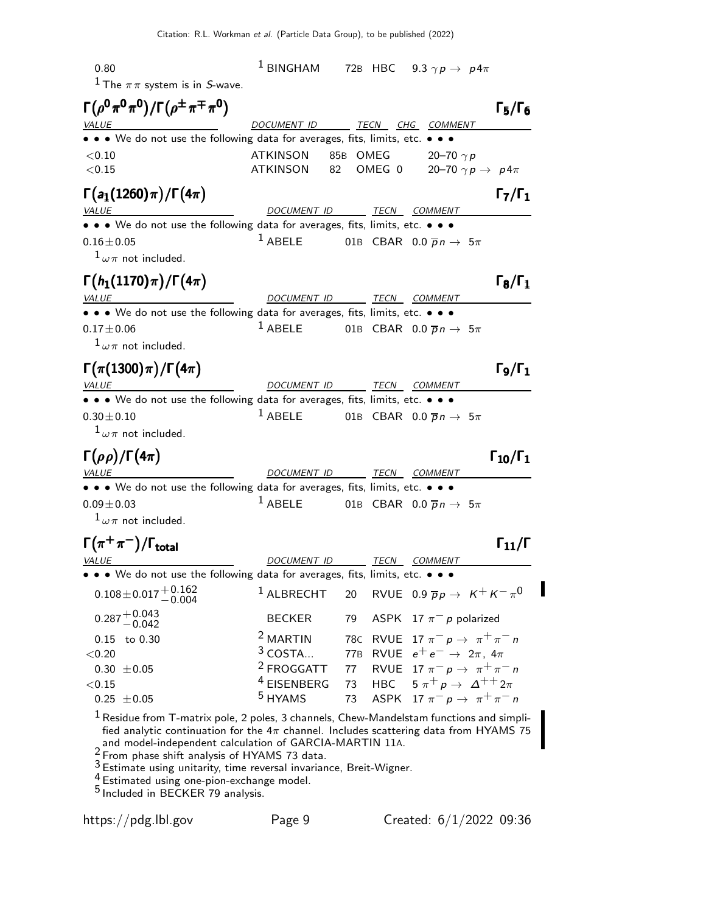0.80 1 BINGHAM 72B HBC  $9.3 \gamma p \rightarrow p 4\pi$ <sup>1</sup> The  $\pi \pi$  system is in S-wave.  $\Gamma(\rho^0 \pi^0 \pi^0)/\Gamma(\rho^{\pm}\pi^{\mp}\pi^0)$  Γ<sub>5</sub>/Γ<sub>6</sub> ) Γ $_5$ /Γ VALUE **DOCUMENT ID** TECN CHG COMMENT • • • We do not use the following data for averages, fits, limits, etc. • • •  $\leq 0.10$  ATKINSON 85B OMEG 20–70  $\gamma p$  $\langle 0.15$  ATKINSON 82 OMEG 0 20–70  $\gamma p \to p 4\pi$  $\Gamma(a_1(1260) \pi)/\Gamma(4\pi)$  Γ<sub>7</sub>/Γ<sub>1</sub>  $\Gamma_7/\Gamma_1$ VALUE **ALUE DOCUMENT ID TECN COMMENT** • • We do not use the following data for averages, fits, limits, etc. • • •  $1 \text{ ABELE}$  01B CBAR 0.0  $\overline{p}n$  –  $0.16 \pm 0.05$   $1 \text{ ABELE}$  01B CBAR  $0.0 \overline{p} n \rightarrow 5\pi$  $1\omega\pi$  not included.  $\Gamma(h_1(1170)\pi)/\Gamma(4\pi)$  Γ<sub>8</sub>/Γ<sub>1</sub> VALUE **VALUE DOCUMENT ID TECN COMMENT** • • • We do not use the following data for averages, fits, limits, etc. • • • •  $1$  ABELE 01B CBAR 0.0  $\overline{p}n$  –  $0.17 \pm 0.06$  1 ABELE 01B CBAR  $0.0 \overline{p} n \rightarrow 5\pi$  $1\omega\pi$  not included.  $\Gamma(\pi(1300)\pi)/\Gamma(4\pi)$  Γ<sub>9</sub>/Γ<sub>1</sub> Γ9/ΓVALUE **ALUE DOCUMENT ID TECN COMMENT** • • We do not use the following data for averages, fits, limits, etc. • • •  $0.30 \pm 0.10$ <br> $1$  ABELE 01B CBAR 0.0  $\overline{p}n$  –  $0.30 \pm 0.10$  1 ABELE 01B CBAR  $0.0 \bar{p} n \to 5\pi$  $1\omega\pi$  not included.  $\Gamma(\rho\rho)/\Gamma(4\pi)$  Γ<sub>10</sub>/Γ<sub>1</sub> VALUE COMMENT DOCUMENT ID TECN COMMENT • • We do not use the following data for averages, fits, limits, etc. • • •  $0.09 + 0.03$ <br> $0.09 + 0.03$  $0.09 \pm 0.03$   $1 \text{ ABELE}$  01B CBAR  $0.0 \overline{p} n \rightarrow 5\pi$  $1\omega\pi$  not included.  $\Gamma(\pi^+\pi^-)/\Gamma_{\rm total}$  Γ<sub>11</sub>/Γ /Γ $_{\rm total}$ Γ DOCUMENT ID TECN COMMENT • We do not use the following data for averages, fits, limits, etc. • • •  $0.108\!\pm\!0.017\frac{+0.162}{-0.004}$ <sup>1</sup> ALBRECHT 20 RVUE 0.9  $\overline{p}p \rightarrow K^+ K^- \pi^0$  $0.287 + 0.043$  $0.287^{+0.043}_{-0.042}$  BECKER 79 ASPK 17  $\pi^-$  p polarized<br>0.15 to 0.30 <sup>2</sup> MARTIN 78C RVUE 17  $\pi^-$  p  $\rightarrow \pi^+$   $\pi$ 0.15 to 0.30 <sup>2</sup> MARTIN 78C RVUE 17  $\pi^- p \to \pi^+ \pi^- n$ <br>
<0.20 <sup>3</sup> COSTA... 77B RVUE  $e^+ e^- \to 2\pi$ , 4 $\pi$  $\begin{array}{llll} 0.20 \ 0.30 \ \pm 0.05 \end{array} \qquad \qquad \begin{array}{llll} \text{3 COSTA...} & \text{77B} & \text{RVUE} & \text{e}^+ \text{e}^- \rightarrow \text{2}\pi, \text{4}\pi \ \text{77} & \text{RVUE} & \text{17} \ \pi^- \text{p} \rightarrow \pi^+ \pi^- \end{array}$ 0.30  $\pm$  0.05 <sup>2</sup> FROGGATT 77 RVUE 17  $\pi^ p \to \pi^+ \pi^-$  n<br><0.15 <sup>4</sup> EISENBERG 73 HBC 5  $\pi^+$   $p \to \Delta^{++} 2\pi$  $\begin{array}{ccccccccc} 0.15 & & & & 4 \text{EISENBERG} & & 73 & \text{HBC} & 5 \ \pi^+ p \rightarrow & \Delta^{++} 2\pi & & & & \ 0.25 & \pm 0.05 & & & & & \end{array}$ ASPK  $17 \pi^- p \to \pi^+ \pi^- n$  $<sup>1</sup>$  Residue from T-matrix pole, 2 poles, 3 channels, Chew-Mandelstam functions and simpli-</sup> fied analytic continuation for the  $4\pi$  channel. Includes scattering data from HYAMS 75 and model-independent calculation of GARCIA-MARTIN 11A.  $2 \frac{\text{and more-m?}}{\text{From phase shift analysis of HYAMS 73 data.}}$ 

3 Estimate using unitarity, time reversal invariance, Breit-Wigner.

4 Estimated using one-pion-exchange model.

5 Included in BECKER 79 analysis.

https://pdg.lbl.gov Page 9 Created: 6/1/2022 09:36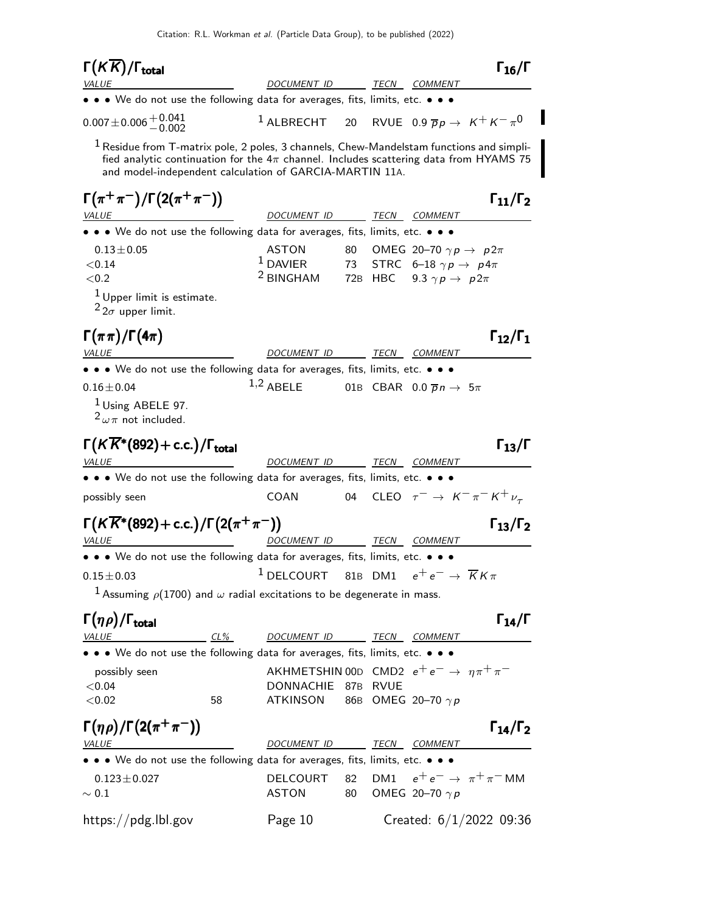| $\Gamma(K\overline{K})/\Gamma_{\rm total}$                                                                                                                                                                                                         |                                                                                                     |    |         |                                               | $\Gamma_{16}/\Gamma$                                  |
|----------------------------------------------------------------------------------------------------------------------------------------------------------------------------------------------------------------------------------------------------|-----------------------------------------------------------------------------------------------------|----|---------|-----------------------------------------------|-------------------------------------------------------|
| VALUE                                                                                                                                                                                                                                              | DOCUMENT ID                                                                                         |    |         | <i>TECN COMMENT</i>                           |                                                       |
| • • • We do not use the following data for averages, fits, limits, etc. • • •                                                                                                                                                                      |                                                                                                     |    |         |                                               |                                                       |
| $0.007 \pm 0.006 \pm 0.041$                                                                                                                                                                                                                        | $1$ ALBRECHT                                                                                        |    |         |                                               | 20 RVUE 0.9 $\overline{p}p \rightarrow K^+ K^- \pi^0$ |
| $1$ Residue from T-matrix pole, 2 poles, 3 channels, Chew-Mandelstam functions and simpli-<br>fied analytic continuation for the $4\pi$ channel. Includes scattering data from HYAMS 75<br>and model-independent calculation of GARCIA-MARTIN 11A. |                                                                                                     |    |         |                                               |                                                       |
| $\Gamma(\pi^+\pi^-)/\Gamma(2(\pi^+\pi^-))$<br><b>VALUE</b>                                                                                                                                                                                         | DOCUMENT ID                                                                                         |    |         | TECN COMMENT                                  | $\Gamma_{11}/\Gamma_2$                                |
| • • • We do not use the following data for averages, fits, limits, etc. • • •                                                                                                                                                                      |                                                                                                     |    |         |                                               |                                                       |
| $0.13 \pm 0.05$                                                                                                                                                                                                                                    | ASTON                                                                                               | 80 |         | OMEG 20-70 $\gamma p \rightarrow p 2\pi$      |                                                       |
| < 0.14                                                                                                                                                                                                                                             | $^1$ DAVIER                                                                                         | 73 |         | STRC 6-18 $\gamma p \rightarrow p 4\pi$       |                                                       |
| < 0.2                                                                                                                                                                                                                                              | <sup>2</sup> BINGHAM                                                                                |    | 72B HBC | 9.3 $\gamma p \rightarrow p 2\pi$             |                                                       |
| $1$ Upper limit is estimate.<br>$2_{2\sigma}$ upper limit.                                                                                                                                                                                         |                                                                                                     |    |         |                                               |                                                       |
| $\Gamma(\pi\pi)/\Gamma(4\pi)$                                                                                                                                                                                                                      |                                                                                                     |    |         |                                               | $\Gamma_{12}/\Gamma_1$                                |
| <b>VALUE</b>                                                                                                                                                                                                                                       | DOCUMENT ID                                                                                         |    |         | <i>TECN COMMENT</i>                           |                                                       |
| • • • We do not use the following data for averages, fits, limits, etc. • • •                                                                                                                                                                      |                                                                                                     |    |         |                                               |                                                       |
| $0.16 \pm 0.04$                                                                                                                                                                                                                                    | $1,2$ ABELE                                                                                         |    |         | 01B CBAR 0.0 $\overline{p}n \rightarrow 5\pi$ |                                                       |
| <sup>1</sup> Using ABELE 97.<br>$2\omega\pi$ not included.                                                                                                                                                                                         |                                                                                                     |    |         |                                               |                                                       |
| $\Gamma(K\overline{K}^*(892)+\text{c.c.})/\Gamma_{\text{total}}$<br><i>VALUE</i>                                                                                                                                                                   | DOCUMENT ID                                                                                         |    | TECN    | COMMENT                                       | $\Gamma_{13}/\Gamma$                                  |
| • • • We do not use the following data for averages, fits, limits, etc. • • •                                                                                                                                                                      |                                                                                                     |    |         |                                               |                                                       |
| possibly seen                                                                                                                                                                                                                                      | COAN                                                                                                | 04 |         |                                               | CLEO $\tau^ \rightarrow$ $K^ \pi^ K^+$ $\nu_{\tau}$   |
| $\Gamma(K\overline{K}^*(892) + c.c.)/\Gamma(2(\pi^+\pi^-))$<br><b>VALUE</b>                                                                                                                                                                        | <u>DOCUMENT ID</u>                                                                                  |    |         | TECN COMMENT                                  | $\Gamma_{13}/\Gamma_2$                                |
| • • • We do not use the following data for averages, fits, limits, etc. • • •                                                                                                                                                                      |                                                                                                     |    |         |                                               |                                                       |
| $0.15 \pm 0.03$                                                                                                                                                                                                                                    | $^1$ DELCOURT $\,$ 81B $\,$ DM1 $\,$ $\,$ e $^+$ e $^-\,$ $\rightarrow$ $\,$ $\overline{K}$ K $\pi$ |    |         |                                               |                                                       |
| <sup>1</sup> Assuming $\rho$ (1700) and $\omega$ radial excitations to be degenerate in mass.                                                                                                                                                      |                                                                                                     |    |         |                                               |                                                       |
|                                                                                                                                                                                                                                                    |                                                                                                     |    |         |                                               |                                                       |
| $\Gamma(\eta \rho)/\Gamma_{\rm total}$                                                                                                                                                                                                             |                                                                                                     |    |         |                                               | $\Gamma_{14}/\Gamma$                                  |
| $CL\%$<br><b>VALUE</b>                                                                                                                                                                                                                             | DOCUMENT ID TECN COMMENT                                                                            |    |         |                                               |                                                       |
| • We do not use the following data for averages, fits, limits, etc. • • •                                                                                                                                                                          |                                                                                                     |    |         |                                               |                                                       |
| possibly seen                                                                                                                                                                                                                                      | AKHMETSHIN 00D CMD2 $e^+e^- \rightarrow \eta \pi^+ \pi^-$                                           |    |         |                                               |                                                       |
| < 0.04<br>< 0.02<br>58                                                                                                                                                                                                                             | DONNACHIE 87B RVUE<br><b>ATKINSON</b>                                                               |    |         | 86B OMEG 20-70 $\gamma p$                     |                                                       |
| $\Gamma(\eta \rho)/\Gamma(2(\pi^+\pi^-))$                                                                                                                                                                                                          |                                                                                                     |    |         |                                               | $\Gamma_{14}/\Gamma_2$                                |
| <b>VALUE</b>                                                                                                                                                                                                                                       | DOCUMENT ID                                                                                         |    |         | TECN COMMENT                                  |                                                       |
| • • • We do not use the following data for averages, fits, limits, etc. • • •                                                                                                                                                                      |                                                                                                     |    |         |                                               |                                                       |
| $0.123 \pm 0.027$                                                                                                                                                                                                                                  | <b>DELCOURT</b>                                                                                     | 82 | DM1     |                                               | $e^+e^- \rightarrow \pi^+\pi^-$ MM                    |
| $\sim 0.1$                                                                                                                                                                                                                                         | ASTON                                                                                               | 80 |         | OMEG 20-70 $\gamma p$                         |                                                       |
| https://pdg.lbl.gov                                                                                                                                                                                                                                | Page 10                                                                                             |    |         |                                               | Created: $6/1/2022$ 09:36                             |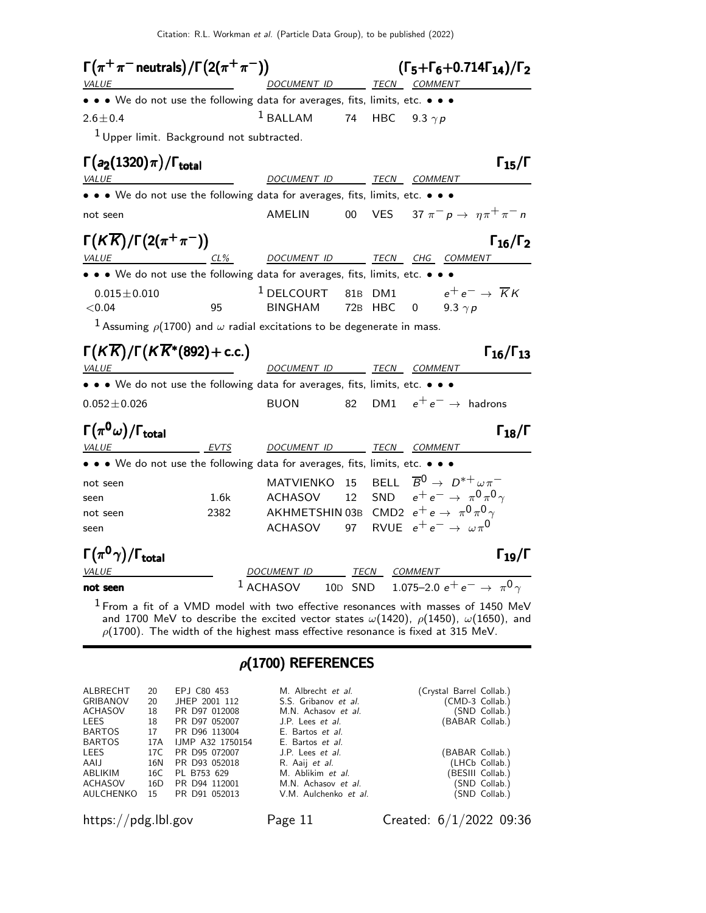Citation: R.L. Workman et al. (Particle Data Group), to be published (2022)



 $\rho$ (1700). The width of the highest mass effective resonance is fixed at 315 MeV.

#### $\rho$ (1700) REFERENCES

| ALBRECHT<br><b>GRIBANOV</b> | 20<br>20 | EPJ C80 453<br>JHEP 2001 112 | M. Albrecht et al.<br>S.S. Gribanov et al. | (Crystal Barrel Collab.)<br>(CMD-3 Collab.) |
|-----------------------------|----------|------------------------------|--------------------------------------------|---------------------------------------------|
| ACHASOV                     | 18       | PR D97 012008                | M.N. Achasov et al.                        | (SND Collab.)                               |
| LEES                        | 18       | PR D97 052007                | J.P. Lees et al.                           | (BABAR Collab.)                             |
| BARTOS                      | 17       | PR D96 113004                | E. Bartos et al.                           |                                             |
| <b>BARTOS</b>               | 17A      | <b>IJMP A32 1750154</b>      | E. Bartos et al.                           |                                             |
| LEES                        | 17C      | PR D95 072007                | J.P. Lees et al.                           | (BABAR Collab.)                             |
| AALI                        | 16N      | PR D93 052018                | R. Aaij et al.                             | (LHCb Collab.)                              |
| ABLIKIM                     | 16C      | PL B753 629                  | M. Ablikim et al.                          | (BESIII Collab.)                            |
| ACHASOV                     | 16D      | PR D94 112001                | M.N. Achasov et al.                        | (SND Collab.)                               |
| AULCHENKO                   | 15       | PR D91 052013                | V.M. Aulchenko et al.                      | (SND Collab.)                               |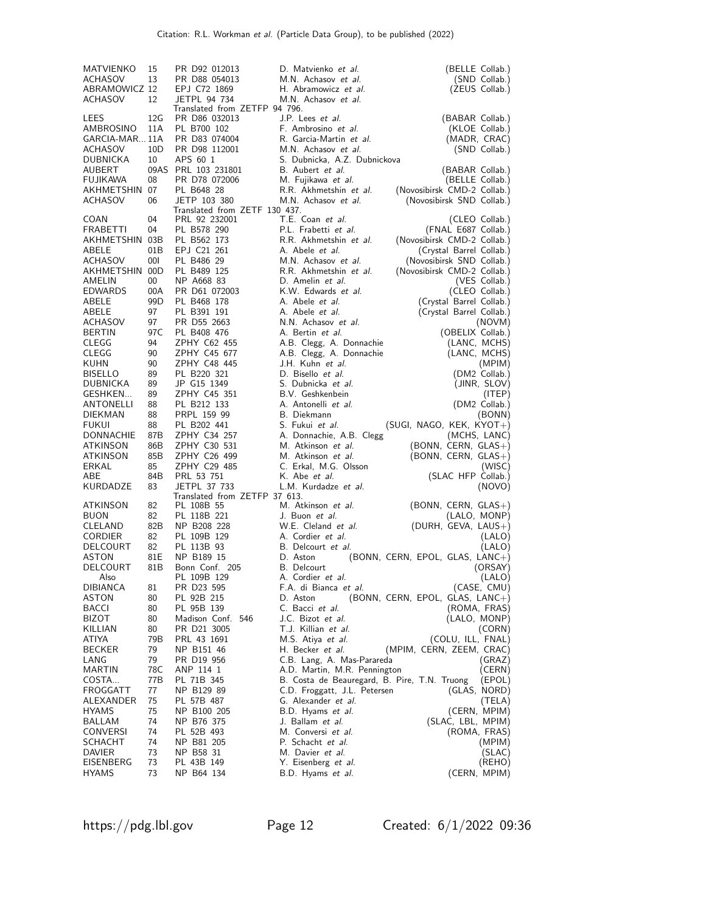| MATVIENKO<br><b>ACHASOV</b><br>ABRAMOWICZ 12<br><b>ACHASOV</b>                     | 15<br>13<br>12                      | PR D92 012013<br>PR D88 054013<br>EPJ C72 1869<br>JETPL 94 734                                              | D. Matvienko et al.<br>M.N. Achasov et al.<br>H. Abramowicz et al.<br>M.N. Achasov et al.                                                                         | (BELLE Collab.)<br>(SND Collab.)<br>(ZEUS Collab.)                                                                                                                            |
|------------------------------------------------------------------------------------|-------------------------------------|-------------------------------------------------------------------------------------------------------------|-------------------------------------------------------------------------------------------------------------------------------------------------------------------|-------------------------------------------------------------------------------------------------------------------------------------------------------------------------------|
| LEES<br>AMBROSINO<br>GARCIA-MAR 11A<br>ACHASOV<br>DUBNICKA                         | 12G<br>11A<br>10 <sub>D</sub><br>10 | Translated from ZETFP 94 796.<br>PR D86 032013<br>PL B700 102<br>PR D83 074004<br>PR D98 112001<br>APS 60 1 | J.P. Lees et al.<br>F. Ambrosino et al.<br>R. Garcia-Martin et al.<br>M.N. Achasov et al.<br>S. Dubnicka, A.Z. Dubnickova                                         | (BABAR Collab.)<br>(KLOE Collab.)<br>(MADR, CRAC)<br>(SND Collab.)                                                                                                            |
| AUBERT<br>FUJIKAWA<br>AKHMETSHIN 07<br>ACHASOV                                     | 08<br>06                            | 09AS PRL 103 231801<br>PR D78 072006<br>PL B648 28<br>JETP 103 380<br>Translated from ZETF 130 437.         | B. Aubert et al.<br>M. Fujikawa et al.<br>R.R. Akhmetshin et al.<br>M.N. Achasov et al.                                                                           | (BABAR Collab.)<br>(BELLE Collab.)<br>(Novosibirsk CMD-2 Collab.)<br>(Novosibirsk SND Collab.)                                                                                |
| COAN<br>FRABETTI<br>AKHMETSHIN 03B<br>ABELE<br>ACHASOV<br>AKHMETSHIN 00D<br>AMELIN | 04<br>04<br>01B<br>001<br>00        | PRL 92 232001<br>PL B578 290<br>PL B562 173<br>EPJ C21 261<br>PL B486 29<br>PL B489 125<br>NP A668 83       | T.E. Coan et al.<br>P.L. Frabetti et al.<br>R.R. Akhmetshin et al.<br>A. Abele <i>et al.</i><br>M.N. Achasov et al.<br>R.R. Akhmetshin et al.<br>D. Amelin et al. | (CLEO Collab.)<br>(FNAL E687 Collab.)<br>(Novosibirsk CMD-2 Collab.)<br>(Crystal Barrel Collab.)<br>(Novosibirsk SND Collab.)<br>(Novosibirsk CMD-2 Collab.)<br>(VES Collab.) |
| <b>EDWARDS</b>                                                                     | 00A                                 | PR D61 072003                                                                                               | K.W. Edwards et al.                                                                                                                                               | (CLEO Collab.)                                                                                                                                                                |
| ABELE                                                                              | 99D                                 | PL B468 178                                                                                                 | A. Abele et al.                                                                                                                                                   | (Crystal Barrel Collab.)                                                                                                                                                      |
| ABELE                                                                              | 97                                  | PL B391 191                                                                                                 | A. Abele <i>et al.</i>                                                                                                                                            | (Crystal Barrel Collab.)                                                                                                                                                      |
| ACHASOV                                                                            | 97                                  | PR D55 2663                                                                                                 | N.N. Achasov et al.                                                                                                                                               | (NOVM)                                                                                                                                                                        |
| <b>BERTIN</b>                                                                      | 97 C                                | PL B408 476                                                                                                 | A. Bertin et al.                                                                                                                                                  | (OBELIX Collab.)                                                                                                                                                              |
| CLEGG                                                                              | 94                                  | ZPHY C62 455                                                                                                | A.B. Clegg, A. Donnachie                                                                                                                                          | (LANC, MCHS)                                                                                                                                                                  |
| CLEGG                                                                              | 90                                  | ZPHY C45 677                                                                                                | A.B. Clegg, A. Donnachie                                                                                                                                          | (LANC, MCHS)                                                                                                                                                                  |
| KUHN                                                                               | 90                                  | ZPHY C48 445                                                                                                | J.H. Kuhn et al.                                                                                                                                                  | (MPIM)                                                                                                                                                                        |
| <b>BISELLO</b>                                                                     | 89                                  | PL B220 321                                                                                                 | D. Bisello et al.                                                                                                                                                 | (DM2 Collab.)                                                                                                                                                                 |
| DUBNICKA                                                                           | 89                                  | JP G15 1349                                                                                                 | S. Dubnicka et al.                                                                                                                                                | (JINR, SLOV)                                                                                                                                                                  |
| GESHKEN                                                                            | 89                                  | ZPHY C45 351                                                                                                | B.V. Geshkenbein                                                                                                                                                  | (ITEP)                                                                                                                                                                        |
| ANTONELLI                                                                          | 88                                  | PL B212 133                                                                                                 | A. Antonelli et al.                                                                                                                                               | (DM2 Collab.)                                                                                                                                                                 |
| <b>DIEKMAN</b>                                                                     | 88                                  | PRPL 159 99                                                                                                 | B. Diekmann                                                                                                                                                       | (BONN)                                                                                                                                                                        |
| FUKUI                                                                              | 88                                  | PL B202 441                                                                                                 | S. Fukui <i>et al.</i>                                                                                                                                            | $(SUGI, NAGO, KEK, KYOT+)$                                                                                                                                                    |
| DONNACHIE                                                                          | 87B                                 | ZPHY C34 257                                                                                                | A. Donnachie, A.B. Clegg                                                                                                                                          | (MCHS, LANC)                                                                                                                                                                  |
| ATKINSON                                                                           | 86B                                 | ZPHY C30 531                                                                                                | M. Atkinson et al.                                                                                                                                                | (BONN, CERN, GLAS+)                                                                                                                                                           |
| ATKINSON                                                                           | 85B                                 | ZPHY C26 499                                                                                                | M. Atkinson et al.                                                                                                                                                | $(BONN, CERN, GLAS+)$                                                                                                                                                         |
| ERKAL                                                                              | 85                                  | ZPHY C29 485                                                                                                | C. Erkal, M.G. Olsson                                                                                                                                             | (WISC)                                                                                                                                                                        |
| ABE<br>KURDADZE                                                                    | 84B<br>83                           | PRL 53 751<br><b>JETPL 37 733</b><br>Translated from ZETFP 37 613.                                          | K. Abe <i>et al.</i><br>L.M. Kurdadze et al.                                                                                                                      | (SLAC HFP Collab.)<br>(NOVO)                                                                                                                                                  |
| ATKINSON                                                                           | 82                                  | PL 108B 55                                                                                                  | M. Atkinson et al.                                                                                                                                                | $(BONN, CERN, GLAS+)$                                                                                                                                                         |
| BUON                                                                               | 82                                  | PL 118B 221                                                                                                 | J. Buon et al.                                                                                                                                                    | (LALO, MONP)                                                                                                                                                                  |
| CLELAND                                                                            | 82B                                 | NP B208 228                                                                                                 | W.E. Cleland et al.                                                                                                                                               | (DURH, GEVA, LAUS+)                                                                                                                                                           |
| CORDIER                                                                            | 82                                  | PL 109B 129                                                                                                 | A. Cordier et al.                                                                                                                                                 | (LALO)                                                                                                                                                                        |
| DELCOURT                                                                           | 82                                  | PL 113B 93                                                                                                  | B. Delcourt et al.                                                                                                                                                | (LALO)                                                                                                                                                                        |
| ASTON                                                                              | 81E                                 | NP B189 15                                                                                                  | D. Aston                                                                                                                                                          | (BONN, CERN, EPOL, GLAS, LANC+)                                                                                                                                               |
| DELCOURT<br>Also<br>DIBIANCA<br>ASTON                                              | 81 <sub>B</sub><br>81<br>80         | Bonn Conf. 205<br>PL 109B 129<br>PR D23 595<br>PL 92B 215                                                   | B. Delcourt<br>A. Cordier et al.<br>F.A. di Bianca et al.<br>D. Aston                                                                                             | (ORSAY)<br>(LALO)<br>(CASE, CMU)<br>(BONN, CERN, EPOL, GLAS, LANC+)                                                                                                           |
| BACCI                                                                              | 80                                  | PL 95B 139                                                                                                  | C. Bacci <i>et al.</i>                                                                                                                                            | (ROMA, FRAS)                                                                                                                                                                  |
| BIZOT                                                                              | 80                                  | Madison Conf. 546                                                                                           | J.C. Bizot et al.                                                                                                                                                 | (LALO, MONP)                                                                                                                                                                  |
| KILLIAN                                                                            | 80                                  | PR D21 3005                                                                                                 | T.J. Killian et al.                                                                                                                                               | (CORN)                                                                                                                                                                        |
| ATIYA                                                                              | 79B                                 | PRL 43 1691                                                                                                 | M.S. Atiya et al.                                                                                                                                                 | (COLU, ILL, FNAL)                                                                                                                                                             |
| <b>BECKER</b>                                                                      | 79                                  | NP B151 46                                                                                                  | H. Becker et al.                                                                                                                                                  | (MPIM, CERN, ZEEM, CRAC)                                                                                                                                                      |
| LANG                                                                               | 79                                  | PR D19 956                                                                                                  | C.B. Lang, A. Mas-Parareda                                                                                                                                        | (GRAZ)                                                                                                                                                                        |
| MARTIN                                                                             | 78C                                 | ANP 114 1                                                                                                   | A.D. Martin, M.R. Pennington                                                                                                                                      | (CERN)                                                                                                                                                                        |
| COSTA                                                                              | 77B                                 | PL 71B 345                                                                                                  | B. Costa de Beauregard, B. Pire, T.N. Truong                                                                                                                      | (EPOL)                                                                                                                                                                        |
| FROGGATT                                                                           | 77                                  | NP B129 89                                                                                                  | C.D. Froggatt, J.L. Petersen                                                                                                                                      | (GLAS, NORD)                                                                                                                                                                  |
| ALEXANDER                                                                          | 75                                  | PL 57B 487                                                                                                  | G. Alexander et al.                                                                                                                                               | (TELA)                                                                                                                                                                        |
| HYAMS                                                                              | 75                                  | NP B100 205                                                                                                 | B.D. Hyams et al.                                                                                                                                                 | (CERN, MPIM)                                                                                                                                                                  |
| BALLAM                                                                             | 74                                  | NP B76 375                                                                                                  | J. Ballam et al.                                                                                                                                                  | (SLAC, LBL, MPIM)                                                                                                                                                             |
| CONVERSI                                                                           | 74                                  | PL 52B 493                                                                                                  | M. Conversi et al.                                                                                                                                                | (ROMA, FRAS)                                                                                                                                                                  |
| SCHACHT                                                                            | 74                                  | NP B81 205                                                                                                  | P. Schacht et al.                                                                                                                                                 | (MPIM)                                                                                                                                                                        |
| DAVIER                                                                             | 73                                  | NP B58 31                                                                                                   | M. Davier et al.                                                                                                                                                  | (SLAC)                                                                                                                                                                        |
| EISENBERG                                                                          | 73                                  | PL 43B 149                                                                                                  | Y. Eisenberg et al.                                                                                                                                               | (REHO)                                                                                                                                                                        |
| HYAMS                                                                              | 73                                  | NP B64 134                                                                                                  | B.D. Hyams et al.                                                                                                                                                 | (CERN, MPIM)                                                                                                                                                                  |